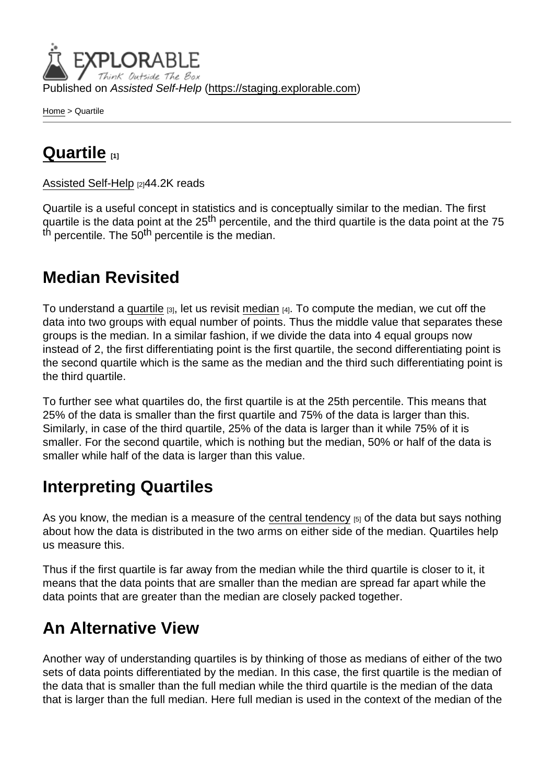Published on Assisted Self-Help [\(https://staging.explorable.com](https://staging.explorable.com))

[Home](https://staging.explorable.com/en) > Quartile

## [Quartile](https://staging.explorable.com/en/quartile) [1]

[Assisted Self-Help](https://staging.explorable.com/en) [2]44.2K reads

Quartile is a useful concept in statistics and is conceptually similar to the median. The first quartile is the data point at the 25<sup>th</sup> percentile, and the third quartile is the data point at the 75 th percentile. The 50<sup>th</sup> percentile is the median.

## Median Revisited

To understand a [quartile](http://en.wikipedia.org/wiki/Quartile)  $[3]$ , let us revisit [median](https://staging.explorable.com/calculate-median)  $[4]$ . To compute the median, we cut off the data into two groups with equal number of points. Thus the middle value that separates these groups is the median. In a similar fashion, if we divide the data into 4 equal groups now instead of 2, the first differentiating point is the first quartile, the second differentiating point is the second quartile which is the same as the median and the third such differentiating point is the third quartile.

To further see what quartiles do, the first quartile is at the 25th percentile. This means that 25% of the data is smaller than the first quartile and 75% of the data is larger than this. Similarly, in case of the third quartile, 25% of the data is larger than it while 75% of it is smaller. For the second quartile, which is nothing but the median, 50% or half of the data is smaller while half of the data is larger than this value.

## Interpreting Quartiles

As you know, the median is a measure of the [central tendency](https://staging.explorable.com/measures-of-central-tendency)  $[5]$  of the data but says nothing about how the data is distributed in the two arms on either side of the median. Quartiles help us measure this.

Thus if the first quartile is far away from the median while the third quartile is closer to it, it means that the data points that are smaller than the median are spread far apart while the data points that are greater than the median are closely packed together.

## An Alternative View

Another way of understanding quartiles is by thinking of those as medians of either of the two sets of data points differentiated by the median. In this case, the first quartile is the median of the data that is smaller than the full median while the third quartile is the median of the data that is larger than the full median. Here full median is used in the context of the median of the